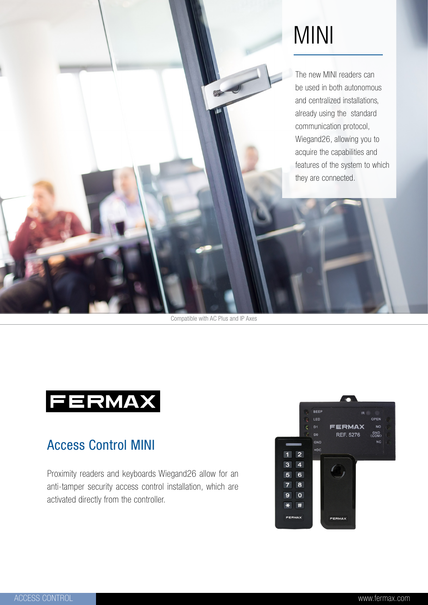

# MINI

The new MINI readers can be used in both autonomous and centralized installations, already using the standard communication protocol, Wiegand26, allowing you to acquire the capabilities and features of the system to which they are connected.

Compatible with AC Plus and IP Axes



## Access Control MINI

Proximity readers and keyboards Wiegand26 allow for an anti-tamper security access control installation, which are activated directly from the controller.